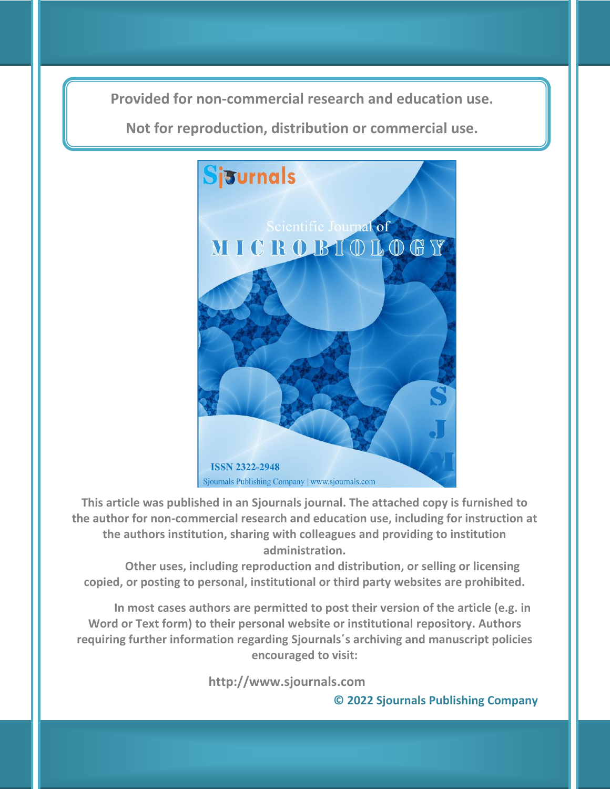**Provided for non-commercial research and education use. Provided for non-commercial research and education use.**

**Not for reproduction, distribution or commercial use. Not for reproduction, distribution or commercial use.**



**This article was published in an Sjournals journal. The attached copy is furnished to the author for non-commercial research and education use, including for instruction at the authors institution, sharing with colleagues and providing to institution administration.**

**Other uses, including reproduction and distribution, or selling or licensing copied, or posting to personal, institutional or third party websites are prohibited.**

**In most cases authors are permitted to post their version of the article (e.g. in Word or Text form) to their personal website or institutional repository. Authors requiring further information regarding Sjournals΄s archiving and manuscript policies encouraged to visit:**

 **http://www.sjournals.com** 

**© 2022 Sjournals Publishing Company**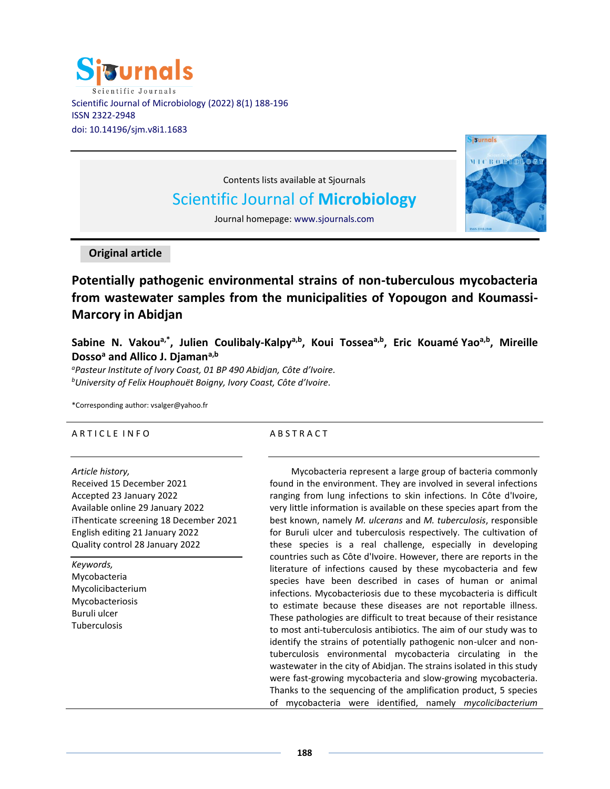



Contents lists available at Sjournals

# Scientific Journal of **Microbiology**

Journal homepage: www.sjournals.com

**Original article**

**Potentially pathogenic environmental strains of non-tuberculous mycobacteria from wastewater samples from the municipalities of Yopougon and Koumassi-Marcory in Abidjan**

**Sabine N. Vakoua,\* , Julien Coulibaly-Kalpya,b , Koui Tosseaa,b , Eric Kouamé Yaoa,b , Mireille Dosso<sup>a</sup> and Allico J. Djamana,b**

*<sup>a</sup>Pasteur Institute of Ivory Coast, 01 BP 490 Abidjan, Côte d'Ivoire. <sup>b</sup>University of Felix Houphouët Boigny, Ivory Coast, Côte d'Ivoire.*

\*Corresponding author: [vsalger@yahoo.fr](mailto:vsalger@yahoo.fr)

# A R T I C L E IN FO

# *Article history,*

Received 15 December 2021 Accepted 23 January 2022 Available online 29 January 2022 iThenticate screening 18 December 2021 English editing 21 January 2022 Quality control 28 January 2022

*Keywords,* Mycobacteria Mycolicibacterium Mycobacteriosis Buruli ulcer Tuberculosis

# A B S T R A C T

Mycobacteria represent a large group of bacteria commonly found in the environment. They are involved in several infections ranging from lung infections to skin infections. In Côte d'Ivoire, very little information is available on these species apart from the best known, namely *M. ulcerans* and *M. tuberculosis*, responsible for Buruli ulcer and tuberculosis respectively. The cultivation of these species is a real challenge, especially in developing countries such as Côte d'Ivoire. However, there are reports in the literature of infections caused by these mycobacteria and few species have been described in cases of human or animal infections. Mycobacteriosis due to these mycobacteria is difficult to estimate because these diseases are not reportable illness. These pathologies are difficult to treat because of their resistance to most anti-tuberculosis antibiotics. The aim of our study was to identify the strains of potentially pathogenic non-ulcer and nontuberculosis environmental mycobacteria circulating in the wastewater in the city of Abidjan. The strains isolated in this study were fast-growing mycobacteria and slow-growing mycobacteria. Thanks to the sequencing of the amplification product, 5 species of mycobacteria were identified, namely *mycolicibacterium*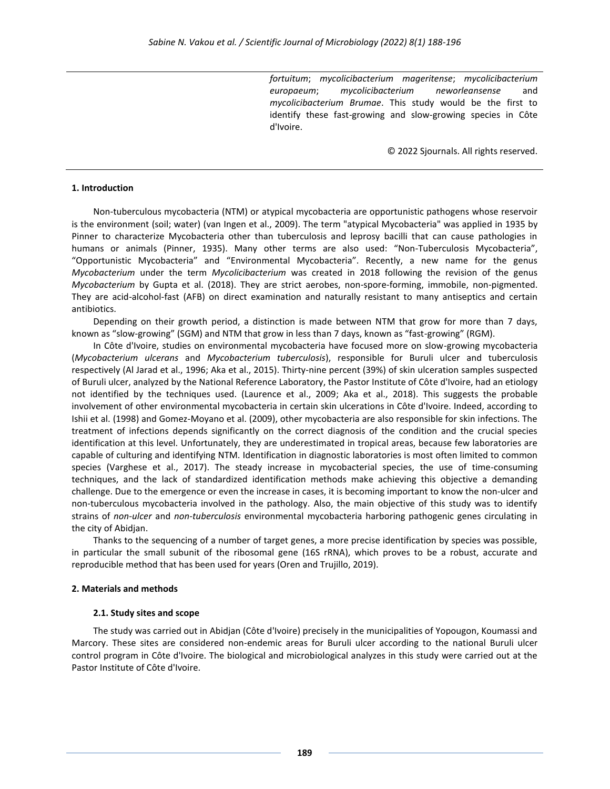*fortuitum*; *mycolicibacterium mageritense*; *mycolicibacterium europaeum*; *mycolicibacterium neworleansense* and *mycolicibacterium Brumae*. This study would be the first to identify these fast-growing and slow-growing species in Côte d'Ivoire.

© 2022 Sjournals. All rights reserved.

#### **1. Introduction**

Non-tuberculous mycobacteria (NTM) or atypical mycobacteria are opportunistic pathogens whose reservoir is the environment (soil; water) (van Ingen et al., 2009). The term "atypical Mycobacteria" was applied in 1935 by Pinner to characterize Mycobacteria other than tuberculosis and leprosy bacilli that can cause pathologies in humans or animals (Pinner, 1935). Many other terms are also used: "Non-Tuberculosis Mycobacteria", "Opportunistic Mycobacteria" and "Environmental Mycobacteria". Recently, a new name for the genus *Mycobacterium* under the term *Mycolicibacterium* was created in 2018 following the revision of the genus *Mycobacterium* by Gupta et al. (2018). They are strict aerobes, non-spore-forming, immobile, non-pigmented. They are acid-alcohol-fast (AFB) on direct examination and naturally resistant to many antiseptics and certain antibiotics.

Depending on their growth period, a distinction is made between NTM that grow for more than 7 days, known as "slow-growing" (SGM) and NTM that grow in less than 7 days, known as "fast-growing" (RGM).

In Côte d'Ivoire, studies on environmental mycobacteria have focused more on slow-growing mycobacteria (*Mycobacterium ulcerans* and *Mycobacterium tuberculosis*), responsible for Buruli ulcer and tuberculosis respectively (Al Jarad et al., 1996; Aka et al., 2015). Thirty-nine percent (39%) of skin ulceration samples suspected of Buruli ulcer, analyzed by the National Reference Laboratory, the Pastor Institute of Côte d'Ivoire, had an etiology not identified by the techniques used. (Laurence et al., 2009; Aka et al., 2018). This suggests the probable involvement of other environmental mycobacteria in certain skin ulcerations in Côte d'Ivoire. Indeed, according to Ishii et al. (1998) and Gomez-Moyano et al. (2009), other mycobacteria are also responsible for skin infections. The treatment of infections depends significantly on the correct diagnosis of the condition and the crucial species identification at this level. Unfortunately, they are underestimated in tropical areas, because few laboratories are capable of culturing and identifying NTM. Identification in diagnostic laboratories is most often limited to common species (Varghese et al., 2017). The steady increase in mycobacterial species, the use of time-consuming techniques, and the lack of standardized identification methods make achieving this objective a demanding challenge. Due to the emergence or even the increase in cases, it is becoming important to know the non-ulcer and non-tuberculous mycobacteria involved in the pathology. Also, the main objective of this study was to identify strains of *non-ulcer* and *non-tuberculosis* environmental mycobacteria harboring pathogenic genes circulating in the city of Abidjan.

Thanks to the sequencing of a number of target genes, a more precise identification by species was possible, in particular the small subunit of the ribosomal gene (16S rRNA), which proves to be a robust, accurate and reproducible method that has been used for years (Oren and Trujillo, 2019).

#### **2. Materials and methods**

### **2.1. Study sites and scope**

The study was carried out in Abidjan (Côte d'Ivoire) precisely in the municipalities of Yopougon, Koumassi and Marcory. These sites are considered non-endemic areas for Buruli ulcer according to the national Buruli ulcer control program in Côte d'Ivoire. The biological and microbiological analyzes in this study were carried out at the Pastor Institute of Côte d'Ivoire.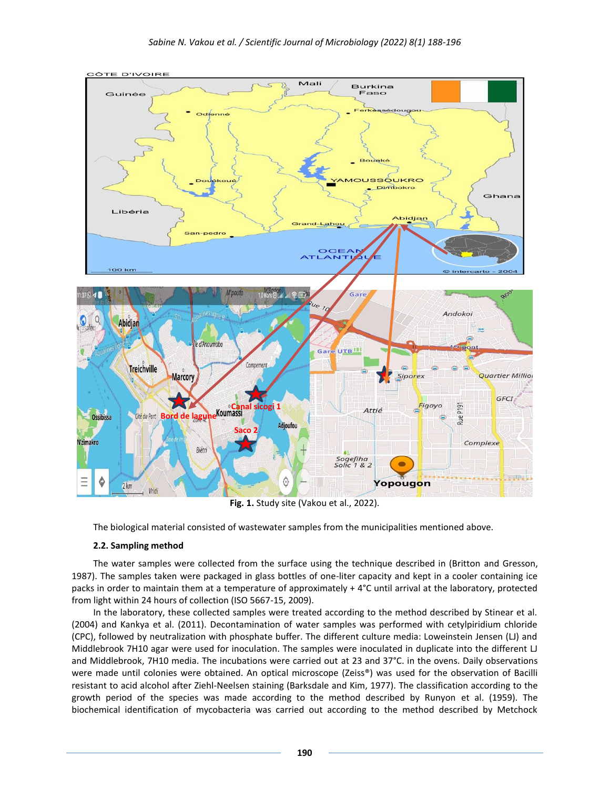

**STE D'IVOIRE** 

**Fig. 1.** Study site (Vakou et al., 2022).

The biological material consisted of wastewater samples from the municipalities mentioned above.

# **2.2. Sampling method**

The water samples were collected from the surface using the technique described in (Britton and Gresson, 1987). The samples taken were packaged in glass bottles of one-liter capacity and kept in a cooler containing ice packs in order to maintain them at a temperature of approximately + 4°C until arrival at the laboratory, protected from light within 24 hours of collection (ISO 5667-15, 2009).

In the laboratory, these collected samples were treated according to the method described by Stinear et al. (2004) and Kankya et al. (2011). Decontamination of water samples was performed with cetylpiridium chloride (CPC), followed by neutralization with phosphate buffer. The different culture media: Loweinstein Jensen (LJ) and Middlebrook 7H10 agar were used for inoculation. The samples were inoculated in duplicate into the different LJ and Middlebrook, 7H10 media. The incubations were carried out at 23 and 37°C. in the ovens. Daily observations were made until colonies were obtained. An optical microscope (Zeiss®) was used for the observation of Bacilli resistant to acid alcohol after Ziehl-Neelsen staining (Barksdale and Kim, 1977). The classification according to the growth period of the species was made according to the method described by Runyon et al. (1959). The biochemical identification of mycobacteria was carried out according to the method described by Metchock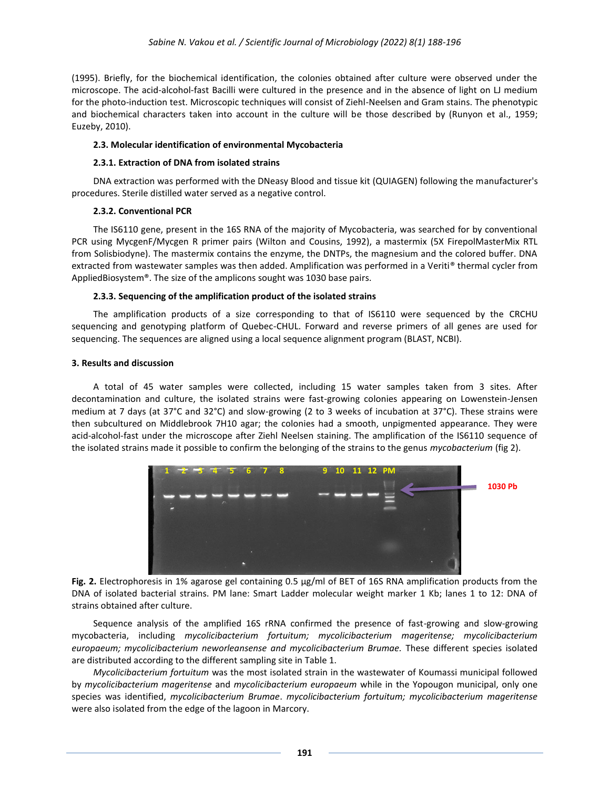(1995). Briefly, for the biochemical identification, the colonies obtained after culture were observed under the microscope. The acid-alcohol-fast Bacilli were cultured in the presence and in the absence of light on LJ medium for the photo-induction test. Microscopic techniques will consist of Ziehl-Neelsen and Gram stains. The phenotypic and biochemical characters taken into account in the culture will be those described by (Runyon et al., 1959; Euzeby, 2010).

# **2.3. Molecular identification of environmental Mycobacteria**

# **2.3.1. Extraction of DNA from isolated strains**

DNA extraction was performed with the DNeasy Blood and tissue kit (QUIAGEN) following the manufacturer's procedures. Sterile distilled water served as a negative control.

# **2.3.2. Conventional PCR**

The IS6110 gene, present in the 16S RNA of the majority of Mycobacteria, was searched for by conventional PCR using MycgenF/Mycgen R primer pairs (Wilton and Cousins, 1992), a mastermix (5X FirepolMasterMix RTL from Solisbiodyne). The mastermix contains the enzyme, the DNTPs, the magnesium and the colored buffer. DNA extracted from wastewater samples was then added. Amplification was performed in a Veriti® thermal cycler from AppliedBiosystem®. The size of the amplicons sought was 1030 base pairs.

# **2.3.3. Sequencing of the amplification product of the isolated strains**

The amplification products of a size corresponding to that of IS6110 were sequenced by the CRCHU sequencing and genotyping platform of Quebec-CHUL. Forward and reverse primers of all genes are used for sequencing. The sequences are aligned using a local sequence alignment program (BLAST, NCBI).

## **3. Results and discussion**

A total of 45 water samples were collected, including 15 water samples taken from 3 sites. After decontamination and culture, the isolated strains were fast-growing colonies appearing on Lowenstein-Jensen medium at 7 days (at 37°C and 32°C) and slow-growing (2 to 3 weeks of incubation at 37°C). These strains were then subcultured on Middlebrook 7H10 agar; the colonies had a smooth, unpigmented appearance. They were acid-alcohol-fast under the microscope after Ziehl Neelsen staining. The amplification of the IS6110 sequence of the isolated strains made it possible to confirm the belonging of the strains to the genus *mycobacterium* (fig 2).



**Fig. 2.** Electrophoresis in 1% agarose gel containing 0.5 µg/ml of BET of 16S RNA amplification products from the DNA of isolated bacterial strains. PM lane: Smart Ladder molecular weight marker 1 Kb; lanes 1 to 12: DNA of strains obtained after culture.

Sequence analysis of the amplified 16S rRNA confirmed the presence of fast-growing and slow-growing mycobacteria, including *mycolicibacterium fortuitum; mycolicibacterium mageritense; mycolicibacterium europaeum; mycolicibacterium neworleansense and mycolicibacterium Brumae.* These different species isolated are distributed according to the different sampling site in Table 1.

*Mycolicibacterium fortuitum* was the most isolated strain in the wastewater of Koumassi municipal followed by *mycolicibacterium mageritense* and *mycolicibacterium europaeum* while in the Yopougon municipal, only one species was identified, *mycolicibacterium Brumae*. *mycolicibacterium fortuitum; mycolicibacterium mageritense* were also isolated from the edge of the lagoon in Marcory.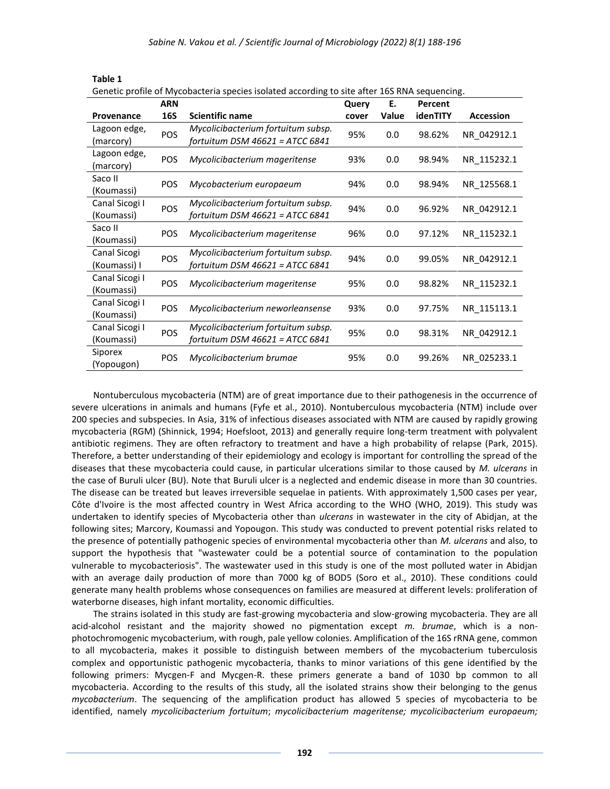|                              | <b>ARN</b> | benear prome or mycobacteria species isolated according to site arter 103 mm sequencing. | Query | Е.    | Percent  |                  |
|------------------------------|------------|------------------------------------------------------------------------------------------|-------|-------|----------|------------------|
| Provenance                   | <b>16S</b> | <b>Scientific name</b>                                                                   | cover | Value | idenTITY | <b>Accession</b> |
| Lagoon edge,<br>(marcory)    | POS        | Mycolicibacterium fortuitum subsp.<br>fortuitum DSM $46621$ = ATCC 6841                  | 95%   | 0.0   | 98.62%   | NR 042912.1      |
| Lagoon edge,<br>(marcory)    | POS        | Mycolicibacterium mageritense                                                            | 93%   | 0.0   | 98.94%   | NR 115232.1      |
| Saco II<br>(Koumassi)        | <b>POS</b> | Mycobacterium europaeum                                                                  | 94%   | 0.0   | 98.94%   | NR 125568.1      |
| Canal Sicogi I<br>(Koumassi) | POS        | Mycolicibacterium fortuitum subsp.<br>fortuitum DSM 46621 = ATCC 6841                    | 94%   | 0.0   | 96.92%   | NR 042912.1      |
| Saco II<br>(Koumassi)        | <b>POS</b> | Mycolicibacterium mageritense                                                            | 96%   | 0.0   | 97.12%   | NR 115232.1      |
| Canal Sicogi<br>(Koumassi) I | POS        | Mycolicibacterium fortuitum subsp.<br>fortuitum DSM 46621 = ATCC 6841                    | 94%   | 0.0   | 99.05%   | NR 042912.1      |
| Canal Sicogi I<br>(Koumassi) | POS        | Mycolicibacterium mageritense                                                            | 95%   | 0.0   | 98.82%   | NR_115232.1      |
| Canal Sicogi I<br>(Koumassi) | <b>POS</b> | Mycolicibacterium neworleansense                                                         | 93%   | 0.0   | 97.75%   | NR 115113.1      |
| Canal Sicogi I<br>(Koumassi) | POS        | Mycolicibacterium fortuitum subsp.<br>fortuitum DSM 46621 = ATCC 6841                    | 95%   | 0.0   | 98.31%   | NR 042912.1      |
| Siporex<br>(Yopougon)        | <b>POS</b> | Mycolicibacterium brumae                                                                 | 95%   | 0.0   | 99.26%   | NR 025233.1      |

**Table 1**

Genetic profile of Mycobacteria species isolated according to site after 16S RNA sequencing.

Nontuberculous mycobacteria (NTM) are of great importance due to their pathogenesis in the occurrence of severe ulcerations in animals and humans (Fyfe et al., 2010). Nontuberculous mycobacteria (NTM) include over 200 species and subspecies. In Asia, 31% of infectious diseases associated with NTM are caused by rapidly growing mycobacteria (RGM) (Shinnick, 1994; Hoefsloot, 2013) and generally require long-term treatment with polyvalent antibiotic regimens. They are often refractory to treatment and have a high probability of relapse (Park, 2015). Therefore, a better understanding of their epidemiology and ecology is important for controlling the spread of the diseases that these mycobacteria could cause, in particular ulcerations similar to those caused by *M. ulcerans* in the case of Buruli ulcer (BU). Note that Buruli ulcer is a neglected and endemic disease in more than 30 countries. The disease can be treated but leaves irreversible sequelae in patients. With approximately 1,500 cases per year, Côte d'Ivoire is the most affected country in West Africa according to the WHO (WHO, 2019). This study was undertaken to identify species of Mycobacteria other than *ulcerans* in wastewater in the city of Abidjan, at the following sites; Marcory, Koumassi and Yopougon. This study was conducted to prevent potential risks related to the presence of potentially pathogenic species of environmental mycobacteria other than *M. ulcerans* and also, to support the hypothesis that "wastewater could be a potential source of contamination to the population vulnerable to mycobacteriosis". The wastewater used in this study is one of the most polluted water in Abidjan with an average daily production of more than 7000 kg of BOD5 (Soro et al., 2010). These conditions could generate many health problems whose consequences on families are measured at different levels: proliferation of waterborne diseases, high infant mortality, economic difficulties.

The strains isolated in this study are fast-growing mycobacteria and slow-growing mycobacteria. They are all acid-alcohol resistant and the majority showed no pigmentation except *m. brumae*, which is a nonphotochromogenic mycobacterium, with rough, pale yellow colonies. Amplification of the 16S rRNA gene, common to all mycobacteria, makes it possible to distinguish between members of the mycobacterium tuberculosis complex and opportunistic pathogenic mycobacteria, thanks to minor variations of this gene identified by the following primers: Mycgen-F and Mycgen-R. these primers generate a band of 1030 bp common to all mycobacteria. According to the results of this study, all the isolated strains show their belonging to the genus *mycobacterium*. The sequencing of the amplification product has allowed 5 species of mycobacteria to be identified, namely *mycolicibacterium fortuitum*; *mycolicibacterium mageritense; mycolicibacterium europaeum;*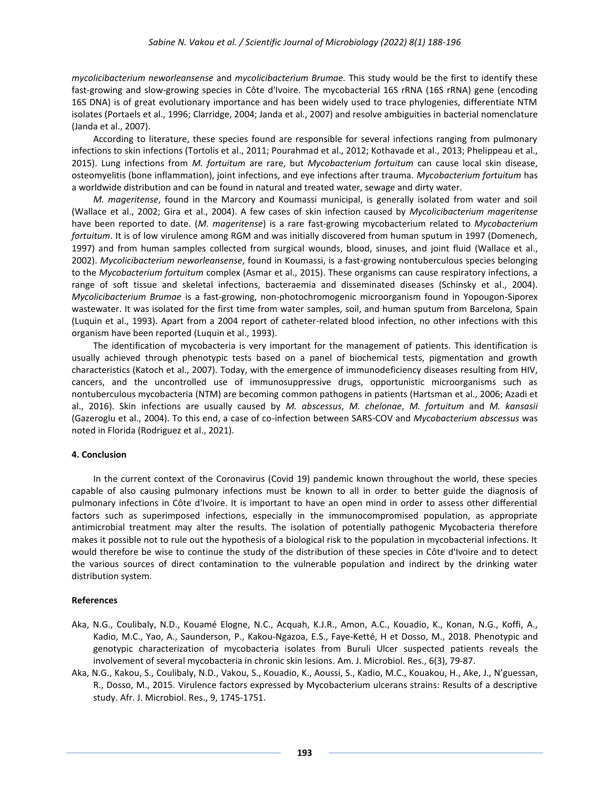*mycolicibacterium neworleansense* and *mycolicibacterium Brumae.* This study would be the first to identify these fast-growing and slow-growing species in Côte d'Ivoire. The mycobacterial 16S rRNA (16S rRNA) gene (encoding 16S DNA) is of great evolutionary importance and has been widely used to trace phylogenies, differentiate NTM isolates (Portaels et al., 1996; Clarridge, 2004; Janda et al., 2007) and resolve ambiguities in bacterial nomenclature (Janda et al., 2007).

According to literature, these species found are responsible for several infections ranging from pulmonary infections to skin infections (Tortolis et al., 2011; Pourahmad et al., 2012; Kothavade et al., 2013; Phelippeau et al., 2015). Lung infections from *M. fortuitum* are rare, but *Mycobacterium fortuitum* can cause local skin disease, osteomyelitis (bone inflammation), joint infections, and eye infections after trauma. *Mycobacterium fortuitum* has a worldwide distribution and can be found in natural and treated water, sewage and dirty water.

*M. mageritense*, found in the Marcory and Koumassi municipal, is generally isolated from water and soil (Wallace et al., 2002; Gira et al., 2004). A few cases of skin infection caused by *Mycolicibacterium mageritense* have been reported to date. (*M. mageritense*) is a rare fast-growing mycobacterium related to *Mycobacterium fortuitum*. It is of low virulence among RGM and was initially discovered from human sputum in 1997 (Domenech, 1997) and from human samples collected from surgical wounds, blood, sinuses, and joint fluid (Wallace et al., 2002). *Mycolicibacterium neworleansense*, found in Koumassi, is a fast-growing nontuberculous species belonging to the *Mycobacterium fortuitum* complex (Asmar et al., 2015). These organisms can cause respiratory infections, a range of soft tissue and skeletal infections, bacteraemia and disseminated diseases (Schinsky et al., 2004). *Mycolicibacterium Brumae* is a fast-growing, non-photochromogenic microorganism found in Yopougon-Siporex wastewater. It was isolated for the first time from water samples, soil, and human sputum from Barcelona, Spain (Luquin et al., 1993). Apart from a 2004 report of catheter-related blood infection, no other infections with this organism have been reported (Luquin et al., 1993).

The identification of mycobacteria is very important for the management of patients. This identification is usually achieved through phenotypic tests based on a panel of biochemical tests, pigmentation and growth characteristics (Katoch et al., 2007). Today, with the emergence of immunodeficiency diseases resulting from HIV, cancers, and the uncontrolled use of immunosuppressive drugs, opportunistic microorganisms such as nontuberculous mycobacteria (NTM) are becoming common pathogens in patients (Hartsman et al., 2006; Azadi et al., 2016). Skin infections are usually caused by *M. abscessus*, *M. chelonae*, *M. fortuitum* and *M. kansasii* (Gazeroglu et al., 2004). To this end, a case of co-infection between SARS-COV and *Mycobacterium abscessus* was noted in Florida (Rodriguez et al., 2021).

# **4. Conclusion**

In the current context of the Coronavirus (Covid 19) pandemic known throughout the world, these species capable of also causing pulmonary infections must be known to all in order to better guide the diagnosis of pulmonary infections in Côte d'Ivoire. It is important to have an open mind in order to assess other differential factors such as superimposed infections, especially in the immunocompromised population, as appropriate antimicrobial treatment may alter the results. The isolation of potentially pathogenic Mycobacteria therefore makes it possible not to rule out the hypothesis of a biological risk to the population in mycobacterial infections. It would therefore be wise to continue the study of the distribution of these species in Côte d'Ivoire and to detect the various sources of direct contamination to the vulnerable population and indirect by the drinking water distribution system.

# **References**

- Aka, N.G., Coulibaly, N.D., Kouamé Elogne, N.C., Acquah, K.J.R., Amon, A.C., Kouadio, K., Konan, N.G., Koffi, A., Kadio, M.C., Yao, A., Saunderson, P., Kakou-Ngazoa, E.S., Faye-Ketté, H et Dosso, M., 2018. Phenotypic and genotypic characterization of mycobacteria isolates from Buruli Ulcer suspected patients reveals the involvement of several mycobacteria in chronic skin lesions. Am. J. Microbiol. Res., 6(3), 79-87.
- Aka, N.G., Kakou, S., Coulibaly, N.D., Vakou, S., Kouadio, K., Aoussi, S., Kadio, M.C., Kouakou, H., Ake, J., N'guessan, R., Dosso, M., 2015. Virulence factors expressed by Mycobacterium ulcerans strains: Results of a descriptive study. Afr. J. Microbiol. Res., 9, 1745-1751.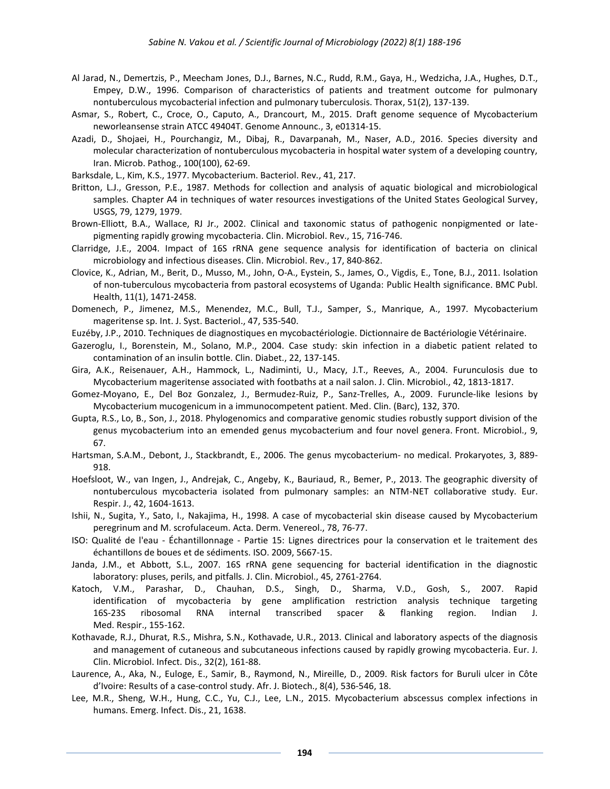- Al Jarad, N., Demertzis, P., Meecham Jones, D.J., Barnes, N.C., Rudd, R.M., Gaya, H., Wedzicha, J.A., Hughes, D.T., Empey, D.W., 1996. Comparison of characteristics of patients and treatment outcome for pulmonary nontuberculous mycobacterial infection and pulmonary tuberculosis. Thorax, 51(2), 137-139.
- Asmar, S., Robert, C., Croce, O., Caputo, A., Drancourt, M., 2015. Draft genome sequence of Mycobacterium neworleansense strain ATCC 49404T. Genome Announc., 3, e01314-15.
- Azadi, D., Shojaei, H., Pourchangiz, M., Dibaj, R., Davarpanah, M., Naser, A.D., 2016. Species diversity and molecular characterization of nontuberculous mycobacteria in hospital water system of a developing country, Iran. Microb. Pathog., 100(100), 62-69.

Barksdale, L., Kim, K.S., 1977. Mycobacterium. Bacteriol. Rev., 41, 217.

- Britton, L.J., Gresson, P.E., 1987. Methods for collection and analysis of aquatic biological and microbiological samples. Chapter A4 in techniques of water resources investigations of the United States Geological Survey, USGS, 79, 1279, 1979.
- Brown-Elliott, B.A., Wallace, RJ Jr., 2002. Clinical and taxonomic status of pathogenic nonpigmented or latepigmenting rapidly growing mycobacteria. Clin. Microbiol. Rev., 15, 716-746.
- Clarridge, J.E., 2004. Impact of 16S rRNA gene sequence analysis for identification of bacteria on clinical microbiology and infectious diseases. Clin. Microbiol. Rev., 17, 840-862.
- Clovice, K., Adrian, M., Berit, D., Musso, M., John, O-A., Eystein, S., James, O., Vigdis, E., Tone, B.J., 2011. Isolation of non-tuberculous mycobacteria from pastoral ecosystems of Uganda: Public Health significance. BMC Publ. Health, 11(1), 1471-2458.
- Domenech, P., Jimenez, M.S., Menendez, M.C., Bull, T.J., Samper, S., Manrique, A., 1997. Mycobacterium mageritense sp. Int. J. Syst. Bacteriol., 47, 535-540.
- Euzéby, J.P., 2010. Techniques de diagnostiques en mycobactériologie. Dictionnaire de Bactériologie Vétérinaire.
- Gazeroglu, I., Borenstein, M., Solano, M.P., 2004. Case study: skin infection in a diabetic patient related to contamination of an insulin bottle. Clin. Diabet., 22, 137-145.
- Gira, A.K., Reisenauer, A.H., Hammock, L., Nadiminti, U., Macy, J.T., Reeves, A., 2004. Furunculosis due to Mycobacterium mageritense associated with footbaths at a nail salon. J. Clin. Microbiol., 42, 1813-1817.
- Gomez-Moyano, E., Del Boz Gonzalez, J., Bermudez-Ruiz, P., Sanz-Trelles, A., 2009. Furuncle-like lesions by Mycobacterium mucogenicum in a immunocompetent patient. Med. Clin. (Barc), 132, 370.
- Gupta, R.S., [Lo,](https://www.frontiersin.org/people/u/477574) B., Son, J., 2018. Phylogenomics and comparative genomic studies robustly support division of the genus mycobacterium into an emended genus mycobacterium and four novel genera. Front. Microbiol., 9, 67.
- Hartsman, S.A.M., Debont, J., Stackbrandt, E., 2006. The genus mycobacterium- no medical. Prokaryotes, 3, 889- 918.
- Hoefsloot, W., van Ingen, J., Andrejak, C., Angeby, K., Bauriaud, R., Bemer, P., 2013. The geographic diversity of nontuberculous mycobacteria isolated from pulmonary samples: an NTM-NET collaborative study. Eur. Respir. J., 42, 1604-1613.
- Ishii, N., Sugita, Y., Sato, I., Nakajima, H., 1998. A case of mycobacterial skin disease caused by Mycobacterium peregrinum and M. scrofulaceum. Acta. Derm. Venereol., 78, 76-77.
- ISO: Qualité de l'eau Échantillonnage Partie 15: Lignes directrices pour la conservation et le traitement des échantillons de boues et de sédiments. ISO. 2009, 5667-15.
- Janda, J.M., et Abbott, S.L., 2007. 16S rRNA gene sequencing for bacterial identification in the diagnostic laboratory: pluses, perils, and pitfalls. J. Clin. Microbiol., 45, 2761-2764.
- Katoch, V.M., Parashar, D., Chauhan, D.S., Singh, D., Sharma, V.D., Gosh, S., 2007. Rapid identification of mycobacteria by gene amplification restriction analysis technique targeting 16S-23S ribosomal RNA internal transcribed spacer & flanking region. Indian J. Med. Respir., 155-162.
- Kothavade, R.J., Dhurat, R.S., Mishra, S.N., Kothavade, U.R., 2013. Clinical and laboratory aspects of the diagnosis and management of cutaneous and subcutaneous infections caused by rapidly growing mycobacteria. Eur. J. Clin. Microbiol. Infect. Dis., 32(2), 161-88.
- Laurence, A., Aka, N., Euloge, E., Samir, B., Raymond, N., Mireille, D., 2009. Risk factors for Buruli ulcer in Côte d'Ivoire: Results of a case-control study. Afr. J. Biotech., 8(4), 536-546, 18.
- Lee, M.R., Sheng, W.H., Hung, C.C., Yu, C.J., Lee, L.N., 2015. Mycobacterium abscessus complex infections in humans. Emerg. Infect. Dis., 21, 1638.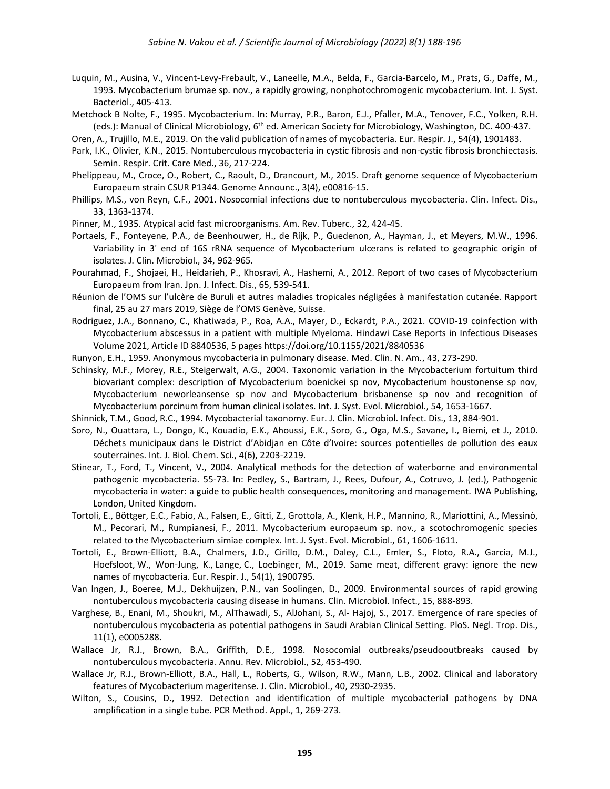- Luquin, M., Ausina, V., Vincent-Levy-Frebault, V., Laneelle, M.A., Belda, F., Garcia-Barcelo, M., Prats, G., Daffe, M., 1993. Mycobacterium brumae sp. nov., a rapidly growing, nonphotochromogenic mycobacterium. Int. J. Syst. Bacteriol., 405-413.
- Metchock B Nolte, F., 1995. Mycobacterium. In: Murray, P.R., Baron, E.J., Pfaller, M.A., Tenover, F.C., Yolken, R.H. (eds.): Manual of Clinical Microbiology, 6<sup>th</sup> ed. American Society for Microbiology, Washington, DC. 400-437.
- Oren, A., Trujillo, M.E., 2019. On the valid publication of names of mycobacteria. Eur. Respir. J., 54(4), 1901483.
- Park, I.K., Olivier, K.N., 2015. Nontuberculous mycobacteria in cystic fibrosis and non-cystic fibrosis bronchiectasis. Semin. Respir. Crit. Care Med., 36, 217-224.
- Phelippeau, M., Croce, O., Robert, C., Raoult, D., Drancourt, M., 2015. Draft genome sequence of Mycobacterium Europaeum strain CSUR P1344. Genome Announc., 3(4), e00816-15.
- Phillips, M.S., von Reyn, C.F., 2001. Nosocomial infections due to nontuberculous mycobacteria. Clin. Infect. Dis., 33, 1363-1374.
- Pinner, M., 1935. Atypical acid fast microorganisms. Am. Rev. Tuberc., 32, 424-45.
- Portaels, F., Fonteyene, P.A., de Beenhouwer, H., de Rijk, P., Guedenon, A., Hayman, J., et Meyers, M.W., 1996. Variability in 3' end of 16S rRNA sequence of Mycobacterium ulcerans is related to geographic origin of isolates. J. Clin. Microbiol., 34, 962-965.
- Pourahmad, F., Shojaei, H., Heidarieh, P., Khosravi, A., Hashemi, A., 2012. Report of two cases of Mycobacterium Europaeum from Iran. Jpn. J. Infect. Dis., 65, 539-541.
- Réunion de l'OMS sur l'ulcère de Buruli et autres maladies tropicales négligées à manifestation cutanée. Rapport final, 25 au 27 mars 2019, Siège de l'OMS Genève, Suisse.
- Rodriguez, J.A., Bonnano, C., Khatiwada, P., Roa, A.A., Mayer, D., Eckardt, P.A., 2021. COVID-19 coinfection with Mycobacterium abscessus in a patient with multiple Myeloma. Hindawi Case Reports in Infectious Diseases Volume 2021, Article ID 8840536, 5 pages https://doi.org/10.1155/2021/8840536
- Runyon, E.H., 1959. Anonymous mycobacteria in pulmonary disease. Med. Clin. N. Am., 43, 273-290.
- Schinsky, M.F., Morey, R.E., Steigerwalt, A.G., 2004. Taxonomic variation in the Mycobacterium fortuitum third biovariant complex: description of Mycobacterium boenickei sp nov, Mycobacterium houstonense sp nov, Mycobacterium neworleansense sp nov and Mycobacterium brisbanense sp nov and recognition of Mycobacterium porcinum from human clinical isolates. Int. J. Syst. Evol. Microbiol., 54, 1653-1667.
- Shinnick, T.M., Good, R.C., 1994. Mycobacterial taxonomy. Eur. J. Clin. Microbiol. Infect. Dis., 13, 884-901.
- Soro, N., Ouattara, L., Dongo, K., Kouadio, E.K., Ahoussi, E.K., Soro, G., Oga, M.S., Savane, I., Biemi, et J., 2010. Déchets municipaux dans le District d'Abidjan en Côte d'Ivoire: sources potentielles de pollution des eaux souterraines. Int. J. Biol. Chem. Sci., 4(6), 2203-2219.
- Stinear, T., Ford, T., Vincent, V., 2004. Analytical methods for the detection of waterborne and environmental pathogenic mycobacteria. 55-73. In: Pedley, S., Bartram, J., Rees, Dufour, A., Cotruvo, J. (ed.), Pathogenic mycobacteria in water: a guide to public health consequences, monitoring and management. IWA Publishing, London, United Kingdom.
- Tortoli, E., Böttger, E.C., Fabio, A., Falsen, E., Gitti, Z., Grottola, A., Klenk, H.P., Mannino, R., Mariottini, A., Messinò, M., Pecorari, M., Rumpianesi, F., 2011. Mycobacterium europaeum sp. nov., a scotochromogenic species related to the Mycobacterium simiae complex. Int. J. Syst. Evol. Microbiol., 61, 1606-1611.
- [Tortoli,](https://pubmed.ncbi.nlm.nih.gov/?term=Tortoli+E&cauthor_id=31296783) E., [Brown-Elliott,](https://pubmed.ncbi.nlm.nih.gov/?term=Brown-Elliott+BA&cauthor_id=31296783) B.A., [Chalmers,](https://pubmed.ncbi.nlm.nih.gov/?term=Chalmers+JD&cauthor_id=31296783) J.D., [Cirillo,](https://pubmed.ncbi.nlm.nih.gov/?term=Cirillo+DM&cauthor_id=31296783) D.M., [Daley,](https://pubmed.ncbi.nlm.nih.gov/?term=Daley+CL&cauthor_id=31296783) C.L., [Emler,](https://pubmed.ncbi.nlm.nih.gov/?term=Emler+S&cauthor_id=31296783) S., [Floto,](https://pubmed.ncbi.nlm.nih.gov/?term=Floto+RA&cauthor_id=31296783) R.A., [Garcia,](https://pubmed.ncbi.nlm.nih.gov/?term=Garcia+MJ&cauthor_id=31296783) M.J., [Hoefsloot,](https://pubmed.ncbi.nlm.nih.gov/?term=Hoefsloot+W&cauthor_id=31296783) W., [Won-Jung,](https://pubmed.ncbi.nlm.nih.gov/?term=Koh+WJ&cauthor_id=31296783) K., [Lange,](https://pubmed.ncbi.nlm.nih.gov/?term=Lange+C&cauthor_id=31296783) C., [Loebinger,](https://pubmed.ncbi.nlm.nih.gov/?term=Loebinger+M&cauthor_id=31296783) M., 2019. Same meat, different gravy: ignore the new names of mycobacteria. Eur. Respir. J., 54(1), 1900795.
- Van Ingen, J., Boeree, M.J., Dekhuijzen, P.N., van Soolingen, D., 2009. Environmental sources of rapid growing nontuberculous mycobacteria causing disease in humans. Clin. Microbiol. Infect., 15, 888-893.
- Varghese, B., Enani, M., Shoukri, M., AlThawadi, S., AlJohani, S., Al- Hajoj, S., 2017. Emergence of rare species of nontuberculous mycobacteria as potential pathogens in Saudi Arabian Clinical Setting. PloS. Negl. Trop. Dis., 11(1), e0005288.
- Wallace Jr, R.J., Brown, B.A., Griffith, D.E., 1998. Nosocomial outbreaks/pseudooutbreaks caused by nontuberculous mycobacteria. Annu. Rev. Microbiol., 52, 453-490.
- Wallace Jr, R.J., Brown-Elliott, B.A., Hall, L., Roberts, G., Wilson, R.W., Mann, L.B., 2002. Clinical and laboratory features of Mycobacterium mageritense. J. Clin. Microbiol., 40, 2930-2935.
- Wilton, S., Cousins, D., 1992. Detection and identification of multiple mycobacterial pathogens by DNA amplification in a single tube. PCR Method. Appl., 1, 269-273.